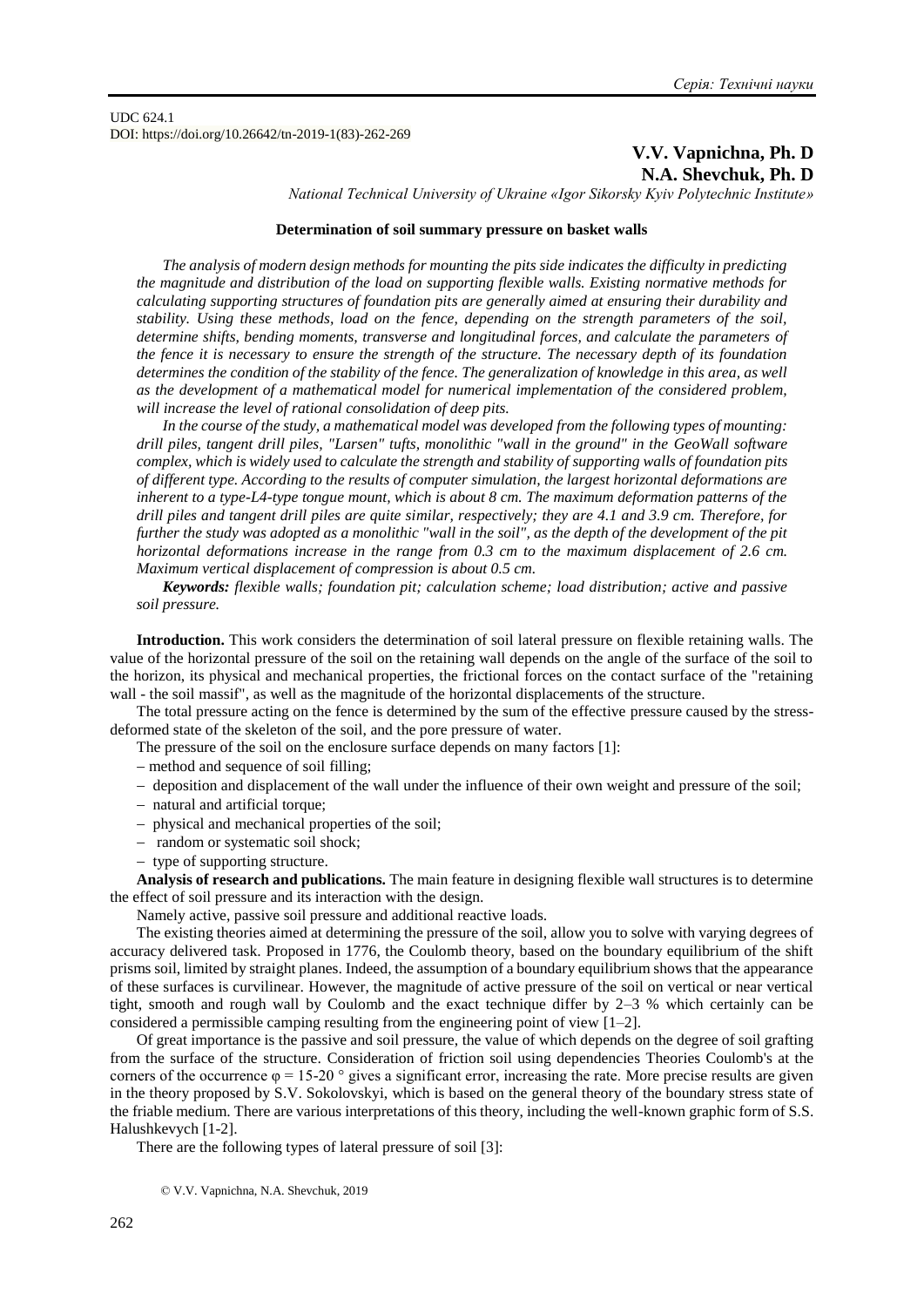UDC 624.1 DOI: https://doi.org/10.26642/tn-2019-1(83)-262-269

## **V.V. Vapnichna, Ph. D N.A. Shevchuk, Ph. D**

*National Technical University of Ukraine «Igor Sikorsky Kyiv Polytechnic Institute»*

### **Determination of soil summary pressure on basket walls**

*The analysis of modern design methods for mounting the pits side indicates the difficulty in predicting the magnitude and distribution of the load on supporting flexible walls. Existing normative methods for calculating supporting structures of foundation pits are generally aimed at ensuring their durability and stability. Using these methods, load on the fence, depending on the strength parameters of the soil, determine shifts, bending moments, transverse and longitudinal forces, and calculate the parameters of the fence it is necessary to ensure the strength of the structure. The necessary depth of its foundation determines the condition of the stability of the fence. The generalization of knowledge in this area, as well as the development of a mathematical model for numerical implementation of the considered problem, will increase the level of rational consolidation of deep pits.*

*In the course of the study, a mathematical model was developed from the following types of mounting: drill piles, tangent drill piles, "Larsen" tufts, monolithic "wall in the ground" in the GeoWall software complex, which is widely used to calculate the strength and stability of supporting walls of foundation pits of different type. According to the results of computer simulation, the largest horizontal deformations are inherent to a type-L4-type tongue mount, which is about 8 cm. The maximum deformation patterns of the drill piles and tangent drill piles are quite similar, respectively; they are 4.1 and 3.9 cm. Therefore, for further the study was adopted as a monolithic "wall in the soil", as the depth of the development of the pit horizontal deformations increase in the range from 0.3 cm to the maximum displacement of 2.6 cm. Maximum vertical displacement of compression is about 0.5 cm.*

*Keywords: flexible walls; foundation pit; calculation scheme; load distribution; active and passive soil pressure.*

**Introduction.** This work considers the determination of soil lateral pressure on flexible retaining walls. The value of the horizontal pressure of the soil on the retaining wall depends on the angle of the surface of the soil to the horizon, its physical and mechanical properties, the frictional forces on the contact surface of the "retaining wall - the soil massif", as well as the magnitude of the horizontal displacements of the structure.

The total pressure acting on the fence is determined by the sum of the effective pressure caused by the stressdeformed state of the skeleton of the soil, and the pore pressure of water.

The pressure of the soil on the enclosure surface depends on many factors [1]:

- method and sequence of soil filling;
- deposition and displacement of the wall under the influence of their own weight and pressure of the soil;
- natural and artificial torque;
- physical and mechanical properties of the soil;
- random or systematic soil shock;
- type of supporting structure.

**Analysis of research and publications.** The main feature in designing flexible wall structures is to determine the effect of soil pressure and its interaction with the design.

Namely active, passive soil pressure and additional reactive loads.

The existing theories aimed at determining the pressure of the soil, allow you to solve with varying degrees of accuracy delivered task. Proposed in 1776, the Coulomb theory, based on the boundary equilibrium of the shift prisms soil, limited by straight planes. Indeed, the assumption of a boundary equilibrium shows that the appearance of these surfaces is curvilinear. However, the magnitude of active pressure of the soil on vertical or near vertical tight, smooth and rough wall by Coulomb and the exact technique differ by 2–3 % which certainly can be considered a permissible camping resulting from the engineering point of view  $[1-2]$ .

Of great importance is the passive and soil pressure, the value of which depends on the degree of soil grafting from the surface of the structure. Consideration of friction soil using dependencies Theories Coulomb's at the corners of the occurrence  $\varphi = 15{\text -}20$  ° gives a significant error, increasing the rate. More precise results are given in the theory proposed by S.V. Sokolovskyi, which is based on the general theory of the boundary stress state of the friable medium. There are various interpretations of this theory, including the well-known graphic form of S.S. Halushkevych [1-2].

There are the following types of lateral pressure of soil [3]:

<sup>©</sup> V.V. Vapnichna, N.A. Shevchuk, 2019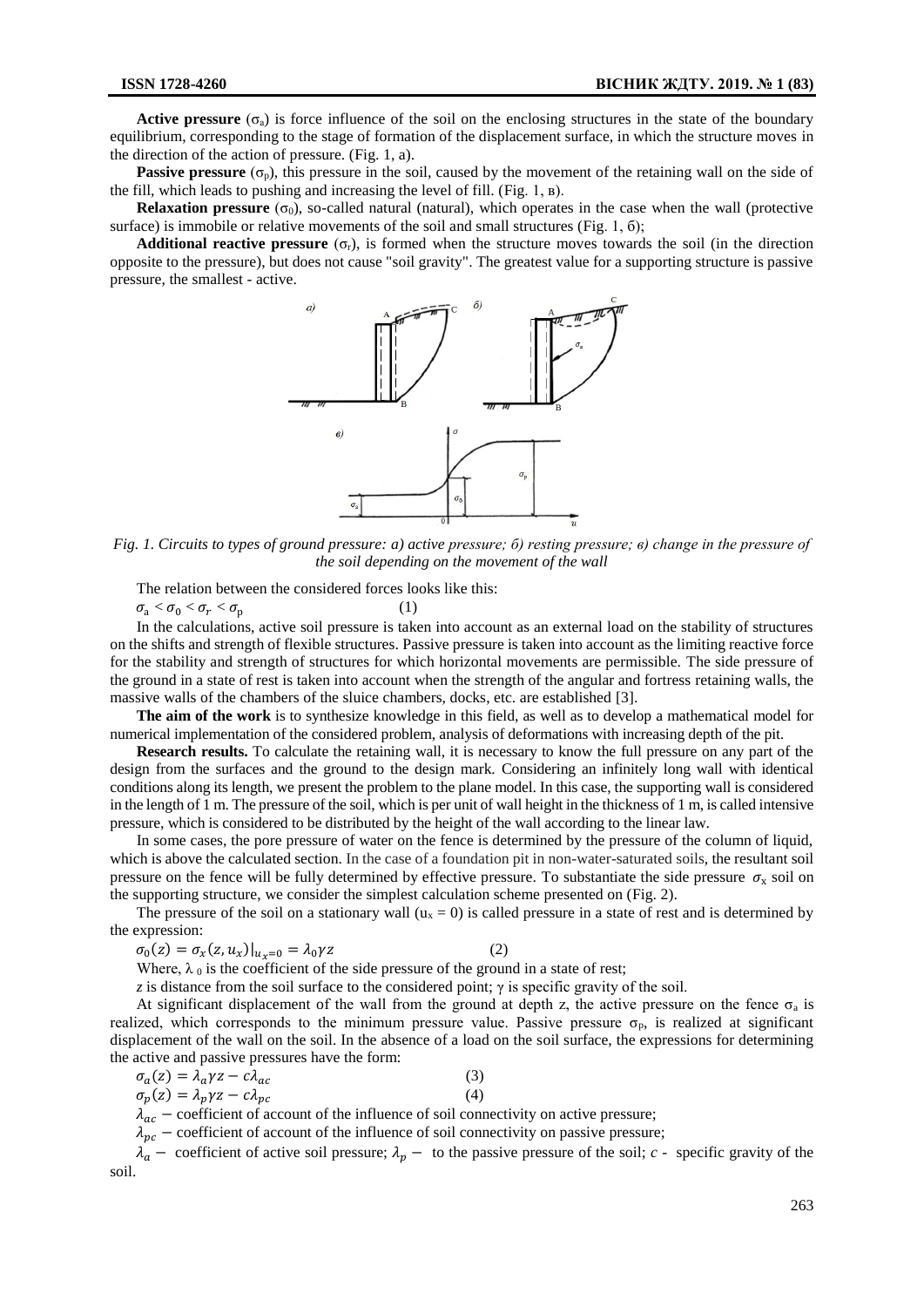**Active pressure** ( $\sigma_a$ ) is force influence of the soil on the enclosing structures in the state of the boundary equilibrium, corresponding to the stage of formation of the displacement surface, in which the structure moves in the direction of the action of pressure. (Fig. 1, a).

**Passive pressure** ( $\sigma_p$ ), this pressure in the soil, caused by the movement of the retaining wall on the side of the fill, which leads to pushing and increasing the level of fill. (Fig. 1, в).

**Relaxation pressure** ( $\sigma_0$ ), so-called natural (natural), which operates in the case when the wall (protective surface) is immobile or relative movements of the soil and small structures (Fig. 1, 6);

**Additional reactive pressure** ( $\sigma_r$ ), is formed when the structure moves towards the soil (in the direction opposite to the pressure), but does not cause "soil gravity". The greatest value for a supporting structure is passive pressure, the smallest - active.



*Fig. 1. Circuits to types of ground pressure: a) active pressure; б) resting pressure; в) change in the pressure of the soil depending on the movement of the wall*

The relation between the considered forces looks like this:

 $\sigma_{\rm a} < \sigma_{\rm 0} < \sigma_{r} < \sigma_{\rm p}$ (1)

In the calculations, active soil pressure is taken into account as an external load on the stability of structures on the shifts and strength of flexible structures. Passive pressure is taken into account as the limiting reactive force for the stability and strength of structures for which horizontal movements are permissible. The side pressure of the ground in a state of rest is taken into account when the strength of the angular and fortress retaining walls, the massive walls of the chambers of the sluice chambers, docks, etc. are established [3].

**The aim of the work** is to synthesize knowledge in this field, as well as to develop a mathematical model for numerical implementation of the considered problem, analysis of deformations with increasing depth of the pit.

**Research results.** To calculate the retaining wall, it is necessary to know the full pressure on any part of the design from the surfaces and the ground to the design mark. Considering an infinitely long wall with identical conditions along its length, we present the problem to the plane model. In this case, the supporting wall is considered in the length of 1 m. The pressure of the soil, which is per unit of wall height in the thickness of 1 m, is called intensive pressure, which is considered to be distributed by the height of the wall according to the linear law.

In some cases, the pore pressure of water on the fence is determined by the pressure of the column of liquid, which is above the calculated section. In the case of a foundation pit in non-water-saturated soils, the resultant soil pressure on the fence will be fully determined by effective pressure. To substantiate the side pressure  $\sigma_x$  soil on the supporting structure, we consider the simplest calculation scheme presented on (Fig. 2).

The pressure of the soil on a stationary wall  $(u_x = 0)$  is called pressure in a state of rest and is determined by the expression:

 $\sigma_0(z) = \sigma_x(z, u_x)|_{u_x=0} = \lambda_0 \gamma z$ (2)

Where,  $\lambda_0$  is the coefficient of the side pressure of the ground in a state of rest;

*z* is distance from the soil surface to the considered point;  $\gamma$  is specific gravity of the soil.

At significant displacement of the wall from the ground at depth z, the active pressure on the fence  $\sigma_a$  is realized, which corresponds to the minimum pressure value. Passive pressure  $\sigma_p$ , is realized at significant displacement of the wall on the soil. In the absence of a load on the soil surface, the expressions for determining the active and passive pressures have the form:

$$
\sigma_a(z) = \lambda_a \gamma z - c \lambda_{ac}
$$
\n
$$
\sigma_p(z) = \lambda_p \gamma z - c \lambda_{pc}
$$
\n(3)\n(4)

 $\lambda_{ac}$  – coefficient of account of the influence of soil connectivity on active pressure;

 $\lambda_{pc}$  – coefficient of account of the influence of soil connectivity on passive pressure;

 $\lambda_a$  – coefficient of active soil pressure;  $\lambda_p$  – to the passive pressure of the soil; *c* - specific gravity of the soil.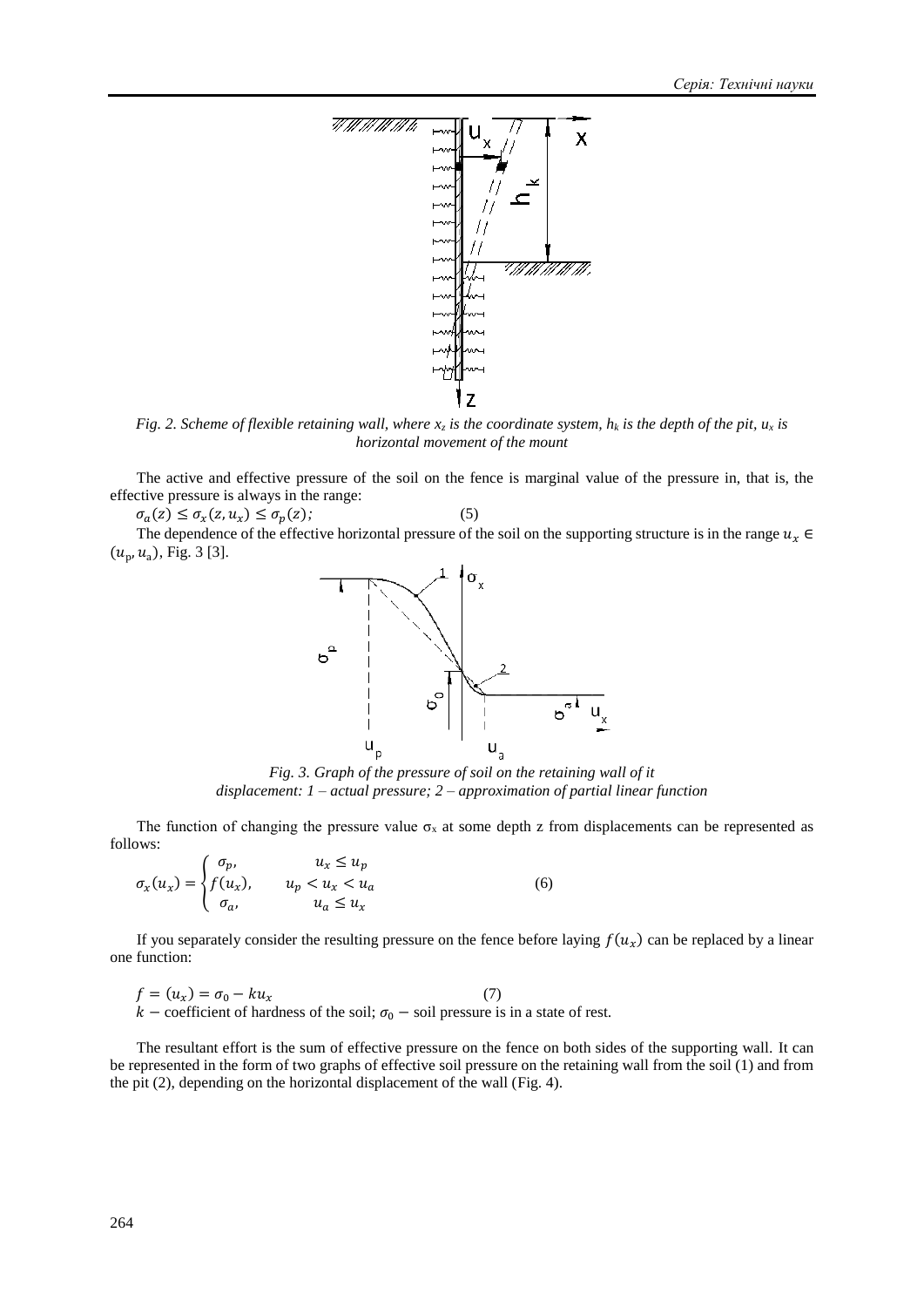

*Fig. 2. Scheme of flexible retaining wall, where*  $x<sub>z</sub>$  *<i>is the coordinate system, h<sub>k</sub> is the depth of the pit,*  $u<sub>x</sub>$  *is horizontal movement of the mount*

The active and effective pressure of the soil on the fence is marginal value of the pressure in, that is, the effective pressure is always in the range:

 $\sigma_a(z) \leq \sigma_x(z, u_x) \leq \sigma_p(z);$ (5)

The dependence of the effective horizontal pressure of the soil on the supporting structure is in the range  $u_x \in$  $(u_p, u_a)$ , Fig. 3 [3].



*Fig. 3. Graph of the pressure of soil on the retaining wall of it displacement: 1 – actual pressure; 2 – approximation of partial linear function*

The function of changing the pressure value  $\sigma_x$  at some depth z from displacements can be represented as follows:

$$
\sigma_x(u_x) = \begin{cases} \sigma_p, & u_x \le u_p \\ f(u_x), & u_p < u_x < u_a \\ \sigma_a, & u_a \le u_x \end{cases}
$$
\n(6)

If you separately consider the resulting pressure on the fence before laying  $f(u_x)$  can be replaced by a linear one function:

$$
f = (u_x) = \sigma_0 - ku_x
$$
 (7)  

$$
k - \text{coefficient of hardness of the soil; } \sigma_0 - \text{ soil pressure is in a state of rest.}
$$

The resultant effort is the sum of effective pressure on the fence on both sides of the supporting wall. It can be represented in the form of two graphs of effective soil pressure on the retaining wall from the soil (1) and from the pit (2), depending on the horizontal displacement of the wall (Fig. 4).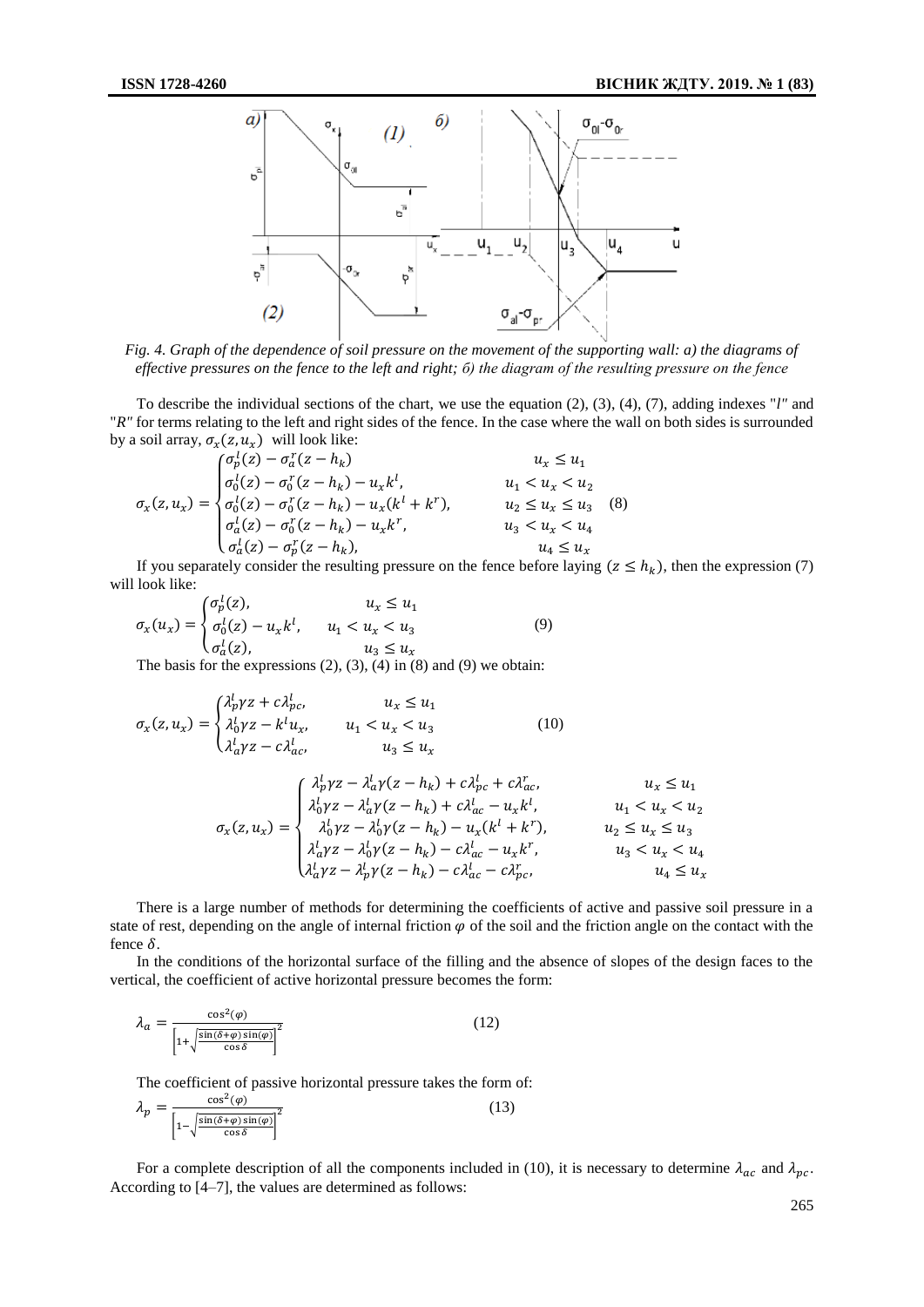

*Fig. 4. Graph of the dependence of soil pressure on the movement of the supporting wall: a) the diagrams of effective pressures on the fence to the left and right; б) the diagram of the resulting pressure on the fence*

To describe the individual sections of the chart, we use the equation (2), (3), (4), (7), adding indexes "*l"* and "*R"* for terms relating to the left and right sides of the fence. In the case where the wall on both sides is surrounded by a soil array,  $\sigma_x(z, u_x)$  will look like:

$$
\sigma_x(z, u_x) = \begin{cases}\n\sigma_p^l(z) - \sigma_a^r(z - h_k) & u_x \le u_1 \\
\sigma_0^l(z) - \sigma_0^r(z - h_k) - u_x k^l, & u_1 < u_x < u_2 \\
\sigma_a^l(z) - \sigma_0^r(z - h_k) - u_x (k^l + k^r), & u_2 \le u_x \le u_3 \\
\sigma_a^l(z) - \sigma_0^r(z - h_k) - u_x k^r, & u_3 < u_x < u_4 \\
\sigma_a^l(z) - \sigma_p^r(z - h_k), & u_4 \le u_x\n\end{cases} (8)
$$

If you separately consider the resulting pressure on the fence before laying  $(z \le h_k)$ , then the expression (7) will look like:

$$
\sigma_x(u_x) = \begin{cases} \sigma_p^1(z), & u_x \le u_1 \\ \sigma_0^1(z) - u_x k^l, & u_1 < u_x < u_3 \\ \sigma_a^1(z), & u_3 \le u_x \end{cases}
$$
(9)

The basis for the expressions  $(2)$ ,  $(3)$ ,  $(4)$  in  $(8)$  and  $(9)$  we obtain:

$$
\sigma_x(z, u_x) = \begin{cases} \lambda_p^l \gamma z + c \lambda_{pc}^l, & u_x \le u_1 \\ \lambda_0^l \gamma z - k^l u_x, & u_1 < u_x < u_3 \\ \lambda_a^l \gamma z - c \lambda_{ac}^l, & u_3 \le u_x \end{cases} \tag{10}
$$

$$
\sigma_x(z, u_x) = \begin{cases} \lambda_p^l \gamma z - \lambda_a^l \gamma (z - h_k) + c \lambda_{pc}^l + c \lambda_{ac}^r, & u_x \le u_1 \\ \lambda_0^l \gamma z - \lambda_a^l \gamma (z - h_k) + c \lambda_{ac}^l - u_x k^l, & u_1 < u_x < u_2 \\ \lambda_0^l \gamma z - \lambda_0^l \gamma (z - h_k) - u_x (k^l + k^r), & u_2 \le u_x \le u_3 \\ \lambda_a^l \gamma z - \lambda_0^l \gamma (z - h_k) - c \lambda_{ac}^l - u_x k^r, & u_3 < u_x < u_4 \\ \lambda_a^l \gamma z - \lambda_p^l \gamma (z - h_k) - c \lambda_{ac}^l - c \lambda_{pc}^r, & u_4 \le u_x \end{cases}
$$

There is a large number of methods for determining the coefficients of active and passive soil pressure in a state of rest, depending on the angle of internal friction  $\varphi$  of the soil and the friction angle on the contact with the fence  $\delta$ .

In the conditions of the horizontal surface of the filling and the absence of slopes of the design faces to the vertical, the coefficient of active horizontal pressure becomes the form:

$$
\lambda_a = \frac{\cos^2(\varphi)}{\left[1 + \sqrt{\frac{\sin(\delta + \varphi)\sin(\varphi)}{\cos \delta}}\right]^2}
$$
(12)

The coefficient of passive horizontal pressure takes the form of:

$$
\lambda_p = \frac{\cos^2(\varphi)}{\left[1 - \sqrt{\frac{\sin(\delta + \varphi)\sin(\varphi)}{\cos \delta}}\right]^2}
$$
(13)

For a complete description of all the components included in (10), it is necessary to determine  $\lambda_{ac}$  and  $\lambda_{pc}$ . According to [4–7], the values are determined as follows: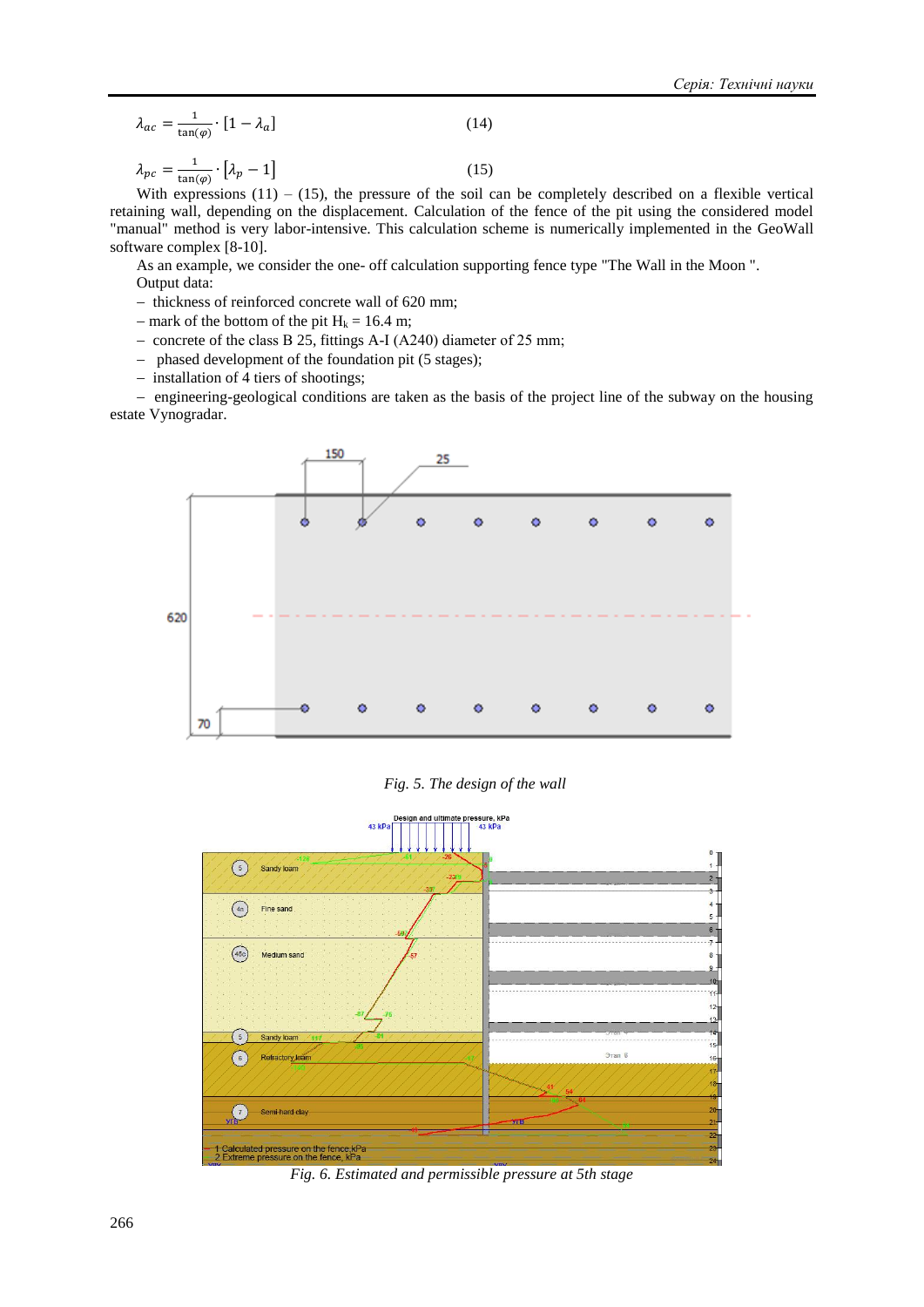$$
\lambda_{ac} = \frac{1}{\tan(\varphi)} \cdot [1 - \lambda_a]
$$
\n(14)

$$
\lambda_{pc} = \frac{1}{\tan(\varphi)} \cdot \left[ \lambda_p - 1 \right] \tag{15}
$$

With expressions  $(11) - (15)$ , the pressure of the soil can be completely described on a flexible vertical retaining wall, depending on the displacement. Calculation of the fence of the pit using the considered model "manual" method is very labor-intensive. This calculation scheme is numerically implemented in the GeoWall software complex [8-10].

As an example, we consider the one- off calculation supporting fence type "The Wall in the Moon ". Output data:

- thickness of reinforced concrete wall of 620 mm;
- mark of the bottom of the pit  $H_k = 16.4$  m;
- concrete of the class B 25, fittings A-I (A240) diameter of 25 mm;
- phased development of the foundation pit (5 stages);
- $-$  installation of 4 tiers of shootings;

- engineering-geological conditions are taken as the basis of the project line of the subway on the housing estate Vynogradar.



*Fig. 5. The design of the wall*



*Fig. 6. Estimated and permissible pressure at 5th stage*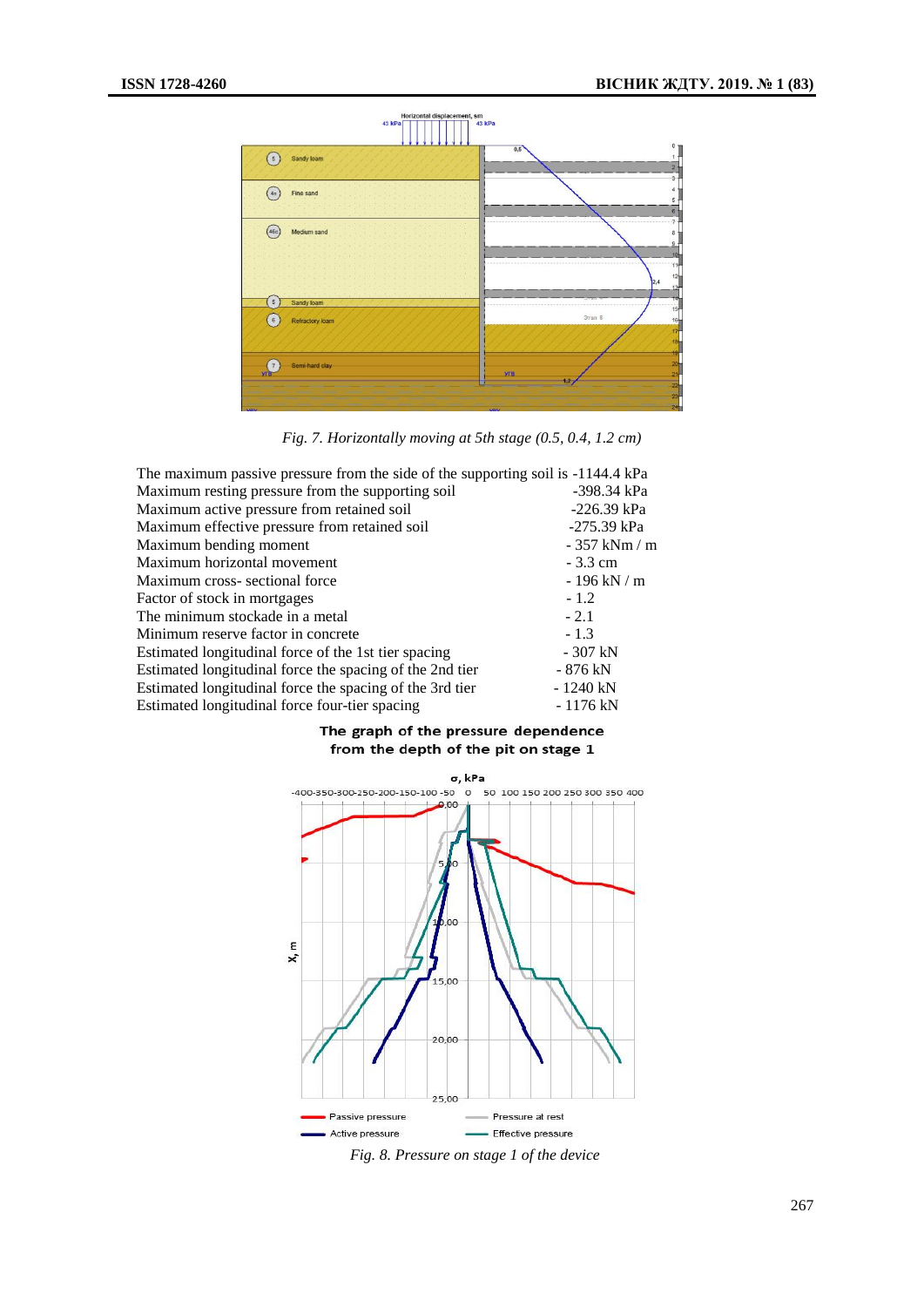

*Fig. 7. Horizontally moving at 5th stage (0.5, 0.4, 1.2 cm)*

| The maximum passive pressure from the side of the supporting soil is -1144.4 kPa |                                      |
|----------------------------------------------------------------------------------|--------------------------------------|
| Maximum resting pressure from the supporting soil                                | -398.34 kPa                          |
| Maximum active pressure from retained soil                                       | $-226.39$ kPa                        |
| Maximum effective pressure from retained soil                                    | $-275.39$ kPa                        |
| Maximum bending moment                                                           | $-357$ kNm / m                       |
| Maximum horizontal movement                                                      | $-3.3$ cm                            |
| Maximum cross-sectional force                                                    | - 196 kN $\mskip-5mu/\mskip-5mu\,$ m |
| Factor of stock in mortgages                                                     | $-1.2$                               |
| The minimum stockade in a metal                                                  | $-2.1$                               |
| Minimum reserve factor in concrete.                                              | $-1.3$                               |
| Estimated longitudinal force of the 1st tier spacing                             | $-307$ kN                            |
| Estimated longitudinal force the spacing of the 2nd tier                         | - 876 kN                             |
| Estimated longitudinal force the spacing of the 3rd tier                         | $-1240$ kN                           |
| Estimated longitudinal force four-tier spacing                                   | - 1176 kN                            |

### The graph of the pressure dependence from the depth of the pit on stage 1



*Fig. 8. Pressure on stage 1 of the device*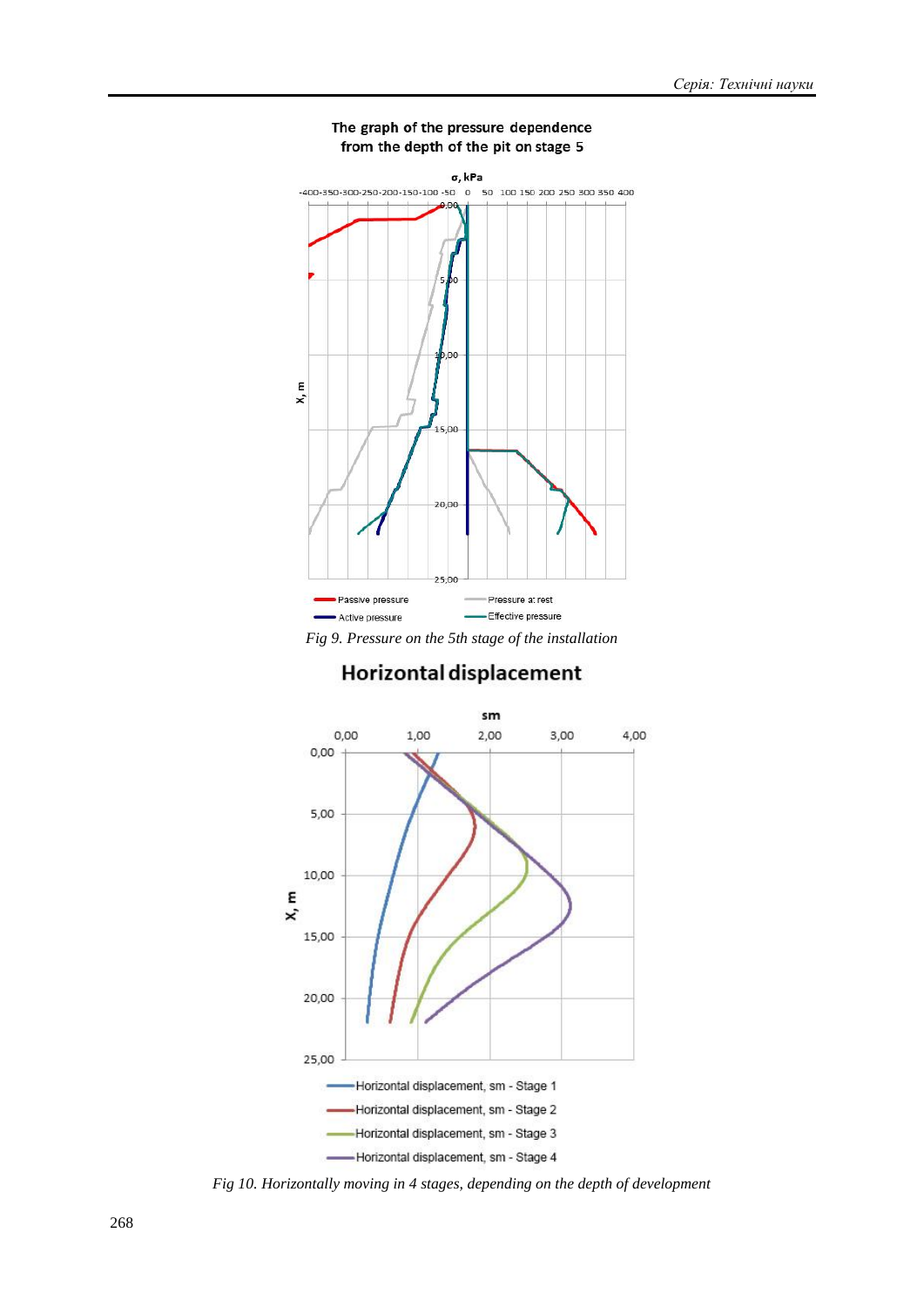

# The graph of the pressure dependence from the depth of the pit on stage 5

*Fig 9. Pressure on the 5th stage of the installation*

# Horizontal displacement



*Fig 10. Horizontally moving in 4 stages, depending on the depth of development*